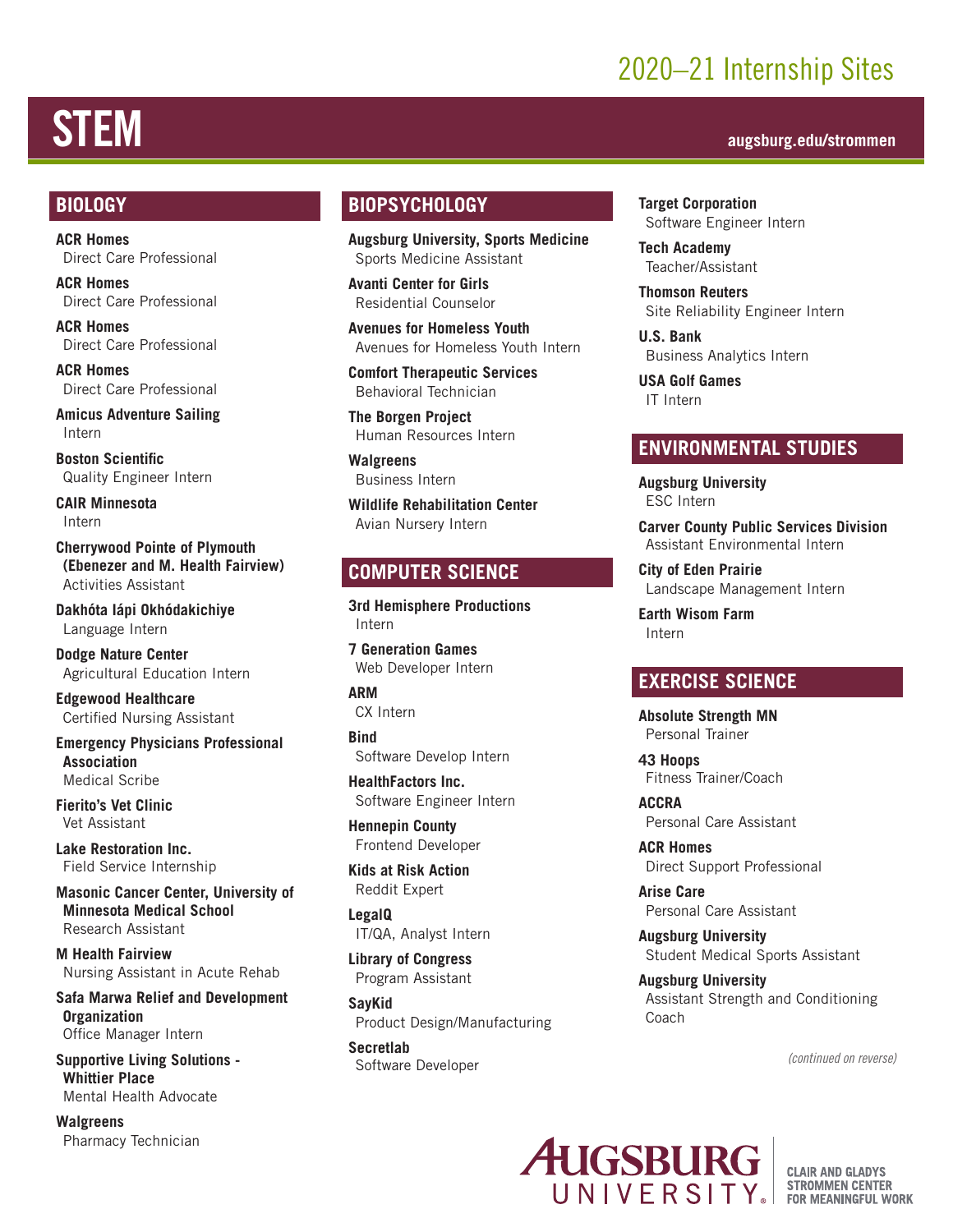## 2020–21 Internship Sites

## STEM **augsburg.edu/strommen**

#### **BIOLOGY**

**ACR Homes** Direct Care Professional

**ACR Homes** Direct Care Professional

**ACR Homes** Direct Care Professional

**ACR Homes** Direct Care Professional

**Amicus Adventure Sailing** Intern

**Boston Scientific**  Quality Engineer Intern

**CAIR Minnesota**  Intern

**Cherrywood Pointe of Plymouth (Ebenezer and M. Health Fairview)** Activities Assistant

**Dakhóta Iápi Okhódakichiye** Language Intern

**Dodge Nature Center** Agricultural Education Intern

**Edgewood Healthcare**  Certified Nursing Assistant

**Emergency Physicians Professional Association** Medical Scribe

**Fierito's Vet Clinic** Vet Assistant

**Lake Restoration Inc.** Field Service Internship

**Masonic Cancer Center, University of Minnesota Medical School** Research Assistant

**M Health Fairview** Nursing Assistant in Acute Rehab

**Safa Marwa Relief and Development Organization** Office Manager Intern

**Supportive Living Solutions - Whittier Place** Mental Health Advocate

**Walgreens** Pharmacy Technician

#### **BIOPSYCHOLOGY**

**Augsburg University, Sports Medicine** Sports Medicine Assistant

**Avanti Center for Girls**  Residential Counselor

**Avenues for Homeless Youth** Avenues for Homeless Youth Intern

**Comfort Therapeutic Services** Behavioral Technician

**The Borgen Project** Human Resources Intern

**Walgreens** Business Intern

**Wildlife Rehabilitation Center** Avian Nursery Intern

#### **COMPUTER SCIENCE**

**3rd Hemisphere Productions** Intern

**7 Generation Games** Web Developer Intern

**ARM** CX Intern

**Bind** Software Develop Intern

**HealthFactors Inc.** Software Engineer Intern

**Hennepin County** Frontend Developer

**Kids at Risk Action** Reddit Expert

**LegalQ** IT/QA, Analyst Intern

**Library of Congress** Program Assistant

**SayKid** Product Design/Manufacturing

**Secretlab**  Software Developer **Target Corporation**  Software Engineer Intern

**Tech Academy** Teacher/Assistant

**Thomson Reuters**  Site Reliability Engineer Intern

**U.S. Bank** Business Analytics Intern

**USA Golf Games** IT Intern

#### **ENVIRONMENTAL STUDIES**

**Augsburg University** ESC Intern

**Carver County Public Services Division** Assistant Environmental Intern

**City of Eden Prairie** Landscape Management Intern

**Earth Wisom Farm**  Intern

#### **EXERCISE SCIENCE**

**Absolute Strength MN** Personal Trainer

**43 Hoops** Fitness Trainer/Coach

**ACCRA** Personal Care Assistant

**ACR Homes** Direct Support Professional

**Arise Care** Personal Care Assistant

**Augsburg University** Student Medical Sports Assistant

**Augsburg University** Assistant Strength and Conditioning Coach

*(continued on reverse)*



**CLAIR AND GLADYS STROMMEN CENTER FOR MEANINGFUL WORK**